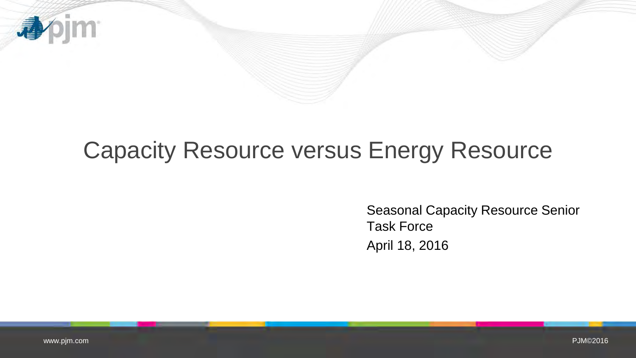

# Capacity Resource versus Energy Resource

Seasonal Capacity Resource Senior Task Force April 18, 2016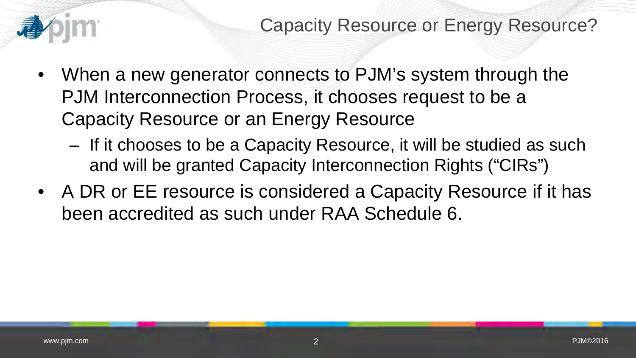

- When a new generator connects to PJM's system through the PJM Interconnection Process, it chooses request to be a Capacity Resource or an Energy Resource
	- If it chooses to be a Capacity Resource, it will be studied as such and will be granted Capacity Interconnection Rights ("CIRs")
- A DR or EE resource is considered a Capacity Resource if it has been accredited as such under RAA Schedule 6.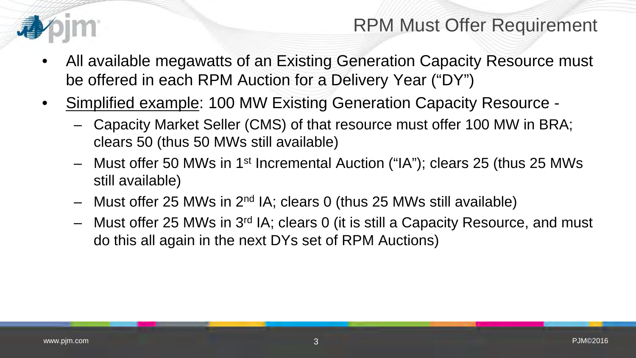

## RPM Must Offer Requirement

- All available megawatts of an Existing Generation Capacity Resource must be offered in each RPM Auction for a Delivery Year ("DY")
- Simplified example: 100 MW Existing Generation Capacity Resource
	- Capacity Market Seller (CMS) of that resource must offer 100 MW in BRA; clears 50 (thus 50 MWs still available)
	- Must offer 50 MWs in 1st Incremental Auction ("IA"); clears 25 (thus 25 MWs still available)
	- Must offer 25 MWs in 2nd IA; clears 0 (thus 25 MWs still available)
	- Must offer 25 MWs in 3rd IA; clears 0 (it is still a Capacity Resource, and must do this all again in the next DYs set of RPM Auctions)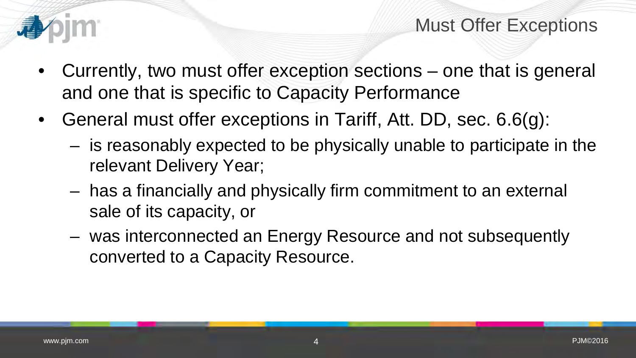

- Currently, two must offer exception sections one that is general and one that is specific to Capacity Performance
- General must offer exceptions in Tariff, Att. DD, sec. 6.6(g):
	- is reasonably expected to be physically unable to participate in the relevant Delivery Year;
	- has a financially and physically firm commitment to an external sale of its capacity, or
	- was interconnected an Energy Resource and not subsequently converted to a Capacity Resource.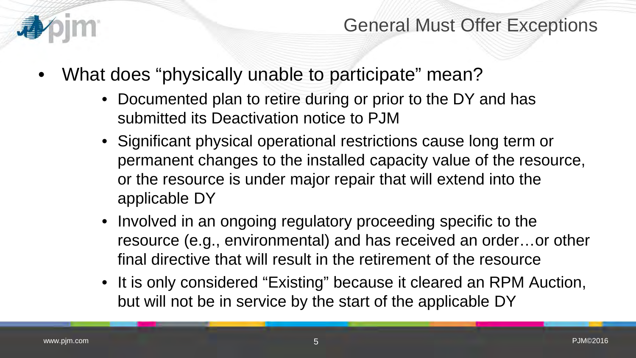

- What does "physically unable to participate" mean?
	- Documented plan to retire during or prior to the DY and has submitted its Deactivation notice to PJM
	- Significant physical operational restrictions cause long term or permanent changes to the installed capacity value of the resource, or the resource is under major repair that will extend into the applicable DY
	- Involved in an ongoing regulatory proceeding specific to the resource (e.g., environmental) and has received an order…or other final directive that will result in the retirement of the resource
	- It is only considered "Existing" because it cleared an RPM Auction, but will not be in service by the start of the applicable DY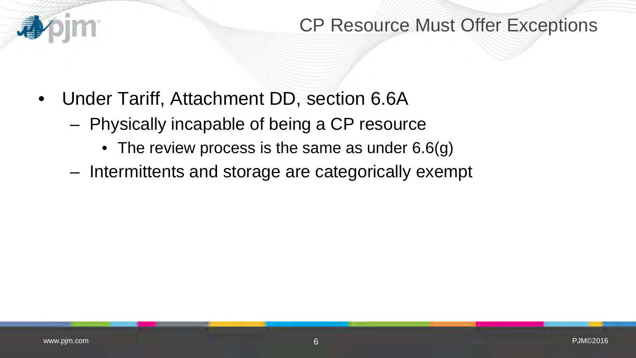

### CP Resource Must Offer Exceptions

- Under Tariff, Attachment DD, section 6.6A
	- Physically incapable of being a CP resource
		- The review process is the same as under 6.6(g)
	- Intermittents and storage are categorically exempt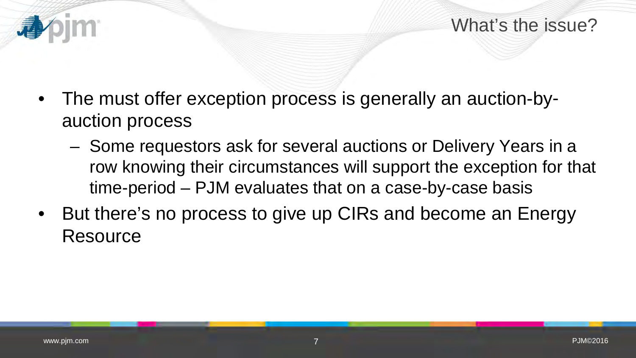What's the issue?

- The must offer exception process is generally an auction-byauction process
	- Some requestors ask for several auctions or Delivery Years in a row knowing their circumstances will support the exception for that time-period – PJM evaluates that on a case-by-case basis
- But there's no process to give up CIRs and become an Energy **Resource**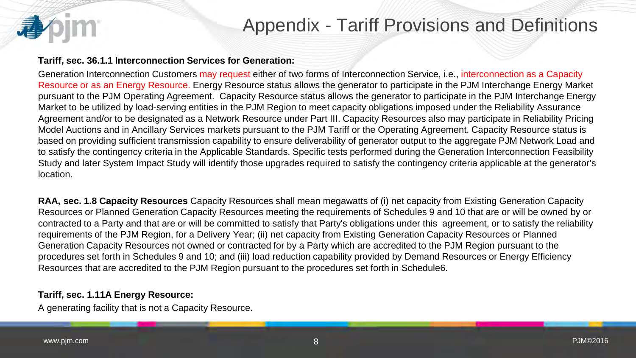### Appendix - Tariff Provisions and Definitions

#### **Tariff, sec. 36.1.1 Interconnection Services for Generation:**

Generation Interconnection Customers may request either of two forms of Interconnection Service, i.e., interconnection as a Capacity Resource or as an Energy Resource. Energy Resource status allows the generator to participate in the PJM Interchange Energy Market pursuant to the PJM Operating Agreement. Capacity Resource status allows the generator to participate in the PJM Interchange Energy Market to be utilized by load-serving entities in the PJM Region to meet capacity obligations imposed under the Reliability Assurance Agreement and/or to be designated as a Network Resource under Part III. Capacity Resources also may participate in Reliability Pricing Model Auctions and in Ancillary Services markets pursuant to the PJM Tariff or the Operating Agreement. Capacity Resource status is based on providing sufficient transmission capability to ensure deliverability of generator output to the aggregate PJM Network Load and to satisfy the contingency criteria in the Applicable Standards. Specific tests performed during the Generation Interconnection Feasibility Study and later System Impact Study will identify those upgrades required to satisfy the contingency criteria applicable at the generator's location.

**RAA, sec. 1.8 Capacity Resources** Capacity Resources shall mean megawatts of (i) net capacity from Existing Generation Capacity Resources or Planned Generation Capacity Resources meeting the requirements of Schedules 9 and 10 that are or will be owned by or contracted to a Party and that are or will be committed to satisfy that Party's obligations under this agreement, or to satisfy the reliability requirements of the PJM Region, for a Delivery Year; (ii) net capacity from Existing Generation Capacity Resources or Planned Generation Capacity Resources not owned or contracted for by a Party which are accredited to the PJM Region pursuant to the procedures set forth in Schedules 9 and 10; and (iii) load reduction capability provided by Demand Resources or Energy Efficiency Resources that are accredited to the PJM Region pursuant to the procedures set forth in Schedule6.

#### **Tariff, sec. 1.11A Energy Resource:**

A generating facility that is not a Capacity Resource.